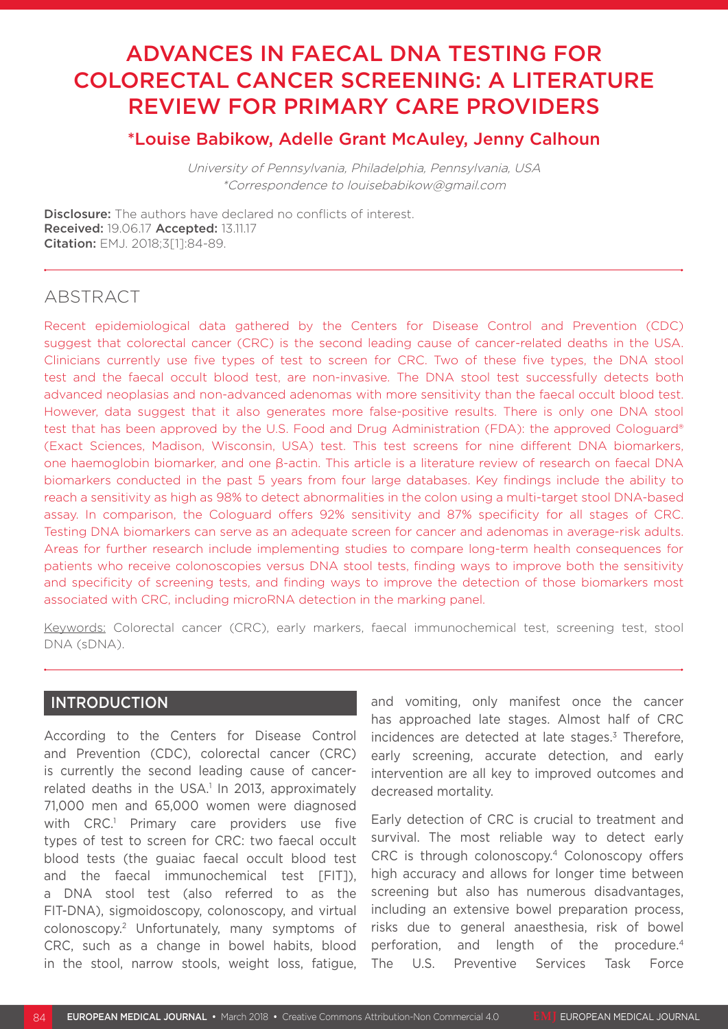# ADVANCES IN FAECAL DNA TESTING FOR COLORECTAL CANCER SCREENING: A LITERATURE REVIEW FOR PRIMARY CARE PROVIDERS

## \*Louise Babikow, Adelle Grant McAuley, Jenny Calhoun

University of Pennsylvania, Philadelphia, Pennsylvania, USA \*Correspondence to louisebabikow@gmail.com

Disclosure: The authors have declared no conflicts of interest. Received: 19.06.17 Accepted: 13.11.17 Citation: EMJ. 2018;3[1]:84-89.

# ABSTRACT

Recent epidemiological data gathered by the Centers for Disease Control and Prevention (CDC) suggest that colorectal cancer (CRC) is the second leading cause of cancer-related deaths in the USA. Clinicians currently use five types of test to screen for CRC. Two of these five types, the DNA stool test and the faecal occult blood test, are non-invasive. The DNA stool test successfully detects both advanced neoplasias and non-advanced adenomas with more sensitivity than the faecal occult blood test. However, data suggest that it also generates more false-positive results. There is only one DNA stool test that has been approved by the U.S. Food and Drug Administration (FDA): the approved Cologuard® (Exact Sciences, Madison, Wisconsin, USA) test. This test screens for nine different DNA biomarkers, one haemoglobin biomarker, and one β-actin. This article is a literature review of research on faecal DNA biomarkers conducted in the past 5 years from four large databases. Key findings include the ability to reach a sensitivity as high as 98% to detect abnormalities in the colon using a multi-target stool DNA-based assay. In comparison, the Cologuard offers 92% sensitivity and 87% specificity for all stages of CRC. Testing DNA biomarkers can serve as an adequate screen for cancer and adenomas in average-risk adults. Areas for further research include implementing studies to compare long-term health consequences for patients who receive colonoscopies versus DNA stool tests, finding ways to improve both the sensitivity and specificity of screening tests, and finding ways to improve the detection of those biomarkers most associated with CRC, including microRNA detection in the marking panel.

Keywords: Colorectal cancer (CRC), early markers, faecal immunochemical test, screening test, stool DNA (sDNA).

#### INTRODUCTION

According to the Centers for Disease Control and Prevention (CDC), colorectal cancer (CRC) is currently the second leading cause of cancerrelated deaths in the USA.<sup>1</sup> In 2013, approximately 71,000 men and 65,000 women were diagnosed with CRC.<sup>1</sup> Primary care providers use five types of test to screen for CRC: two faecal occult blood tests (the guaiac faecal occult blood test and the faecal immunochemical test [FIT]), a DNA stool test (also referred to as the FIT-DNA), sigmoidoscopy, colonoscopy, and virtual colonoscopy.2 Unfortunately, many symptoms of CRC, such as a change in bowel habits, blood in the stool, narrow stools, weight loss, fatigue,

and vomiting, only manifest once the cancer has approached late stages. Almost half of CRC incidences are detected at late stages.<sup>3</sup> Therefore, early screening, accurate detection, and early intervention are all key to improved outcomes and decreased mortality.

Early detection of CRC is crucial to treatment and survival. The most reliable way to detect early CRC is through colonoscopy.4 Colonoscopy offers high accuracy and allows for longer time between screening but also has numerous disadvantages, including an extensive bowel preparation process, risks due to general anaesthesia, risk of bowel perforation, and length of the procedure.<sup>4</sup> The U.S. Preventive Services Task Force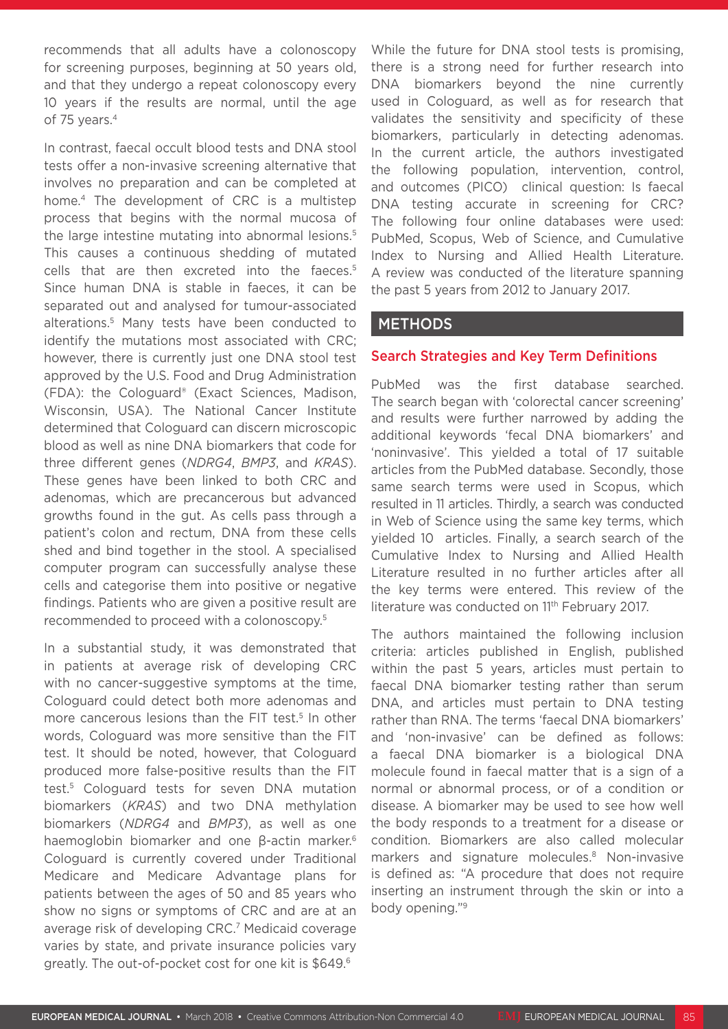recommends that all adults have a colonoscopy for screening purposes, beginning at 50 years old, and that they undergo a repeat colonoscopy every 10 years if the results are normal, until the age of 75 years.<sup>4</sup>

In contrast, faecal occult blood tests and DNA stool tests offer a non-invasive screening alternative that involves no preparation and can be completed at home.4 The development of CRC is a multistep process that begins with the normal mucosa of the large intestine mutating into abnormal lesions.<sup>5</sup> This causes a continuous shedding of mutated cells that are then excreted into the faeces.5 Since human DNA is stable in faeces, it can be separated out and analysed for tumour-associated alterations.5 Many tests have been conducted to identify the mutations most associated with CRC; however, there is currently just one DNA stool test approved by the U.S. Food and Drug Administration (FDA): the Cologuard® (Exact Sciences, Madison, Wisconsin, USA). The National Cancer Institute determined that Cologuard can discern microscopic blood as well as nine DNA biomarkers that code for three different genes (*NDRG4*, *BMP3*, and *KRAS*). These genes have been linked to both CRC and adenomas, which are precancerous but advanced growths found in the gut. As cells pass through a patient's colon and rectum, DNA from these cells shed and bind together in the stool. A specialised computer program can successfully analyse these cells and categorise them into positive or negative findings. Patients who are given a positive result are recommended to proceed with a colonoscopy.5

In a substantial study, it was demonstrated that in patients at average risk of developing CRC with no cancer-suggestive symptoms at the time, Cologuard could detect both more adenomas and more cancerous lesions than the FIT test.<sup>5</sup> In other words, Cologuard was more sensitive than the FIT test. It should be noted, however, that Cologuard produced more false-positive results than the FIT test.5 Cologuard tests for seven DNA mutation biomarkers (*KRAS*) and two DNA methylation biomarkers (*NDRG4* and *BMP3*), as well as one haemoglobin biomarker and one β-actin marker.<sup>6</sup> Cologuard is currently covered under Traditional Medicare and Medicare Advantage plans for patients between the ages of 50 and 85 years who show no signs or symptoms of CRC and are at an average risk of developing CRC.7 Medicaid coverage varies by state, and private insurance policies vary greatly. The out-of-pocket cost for one kit is \$649.6

While the future for DNA stool tests is promising, there is a strong need for further research into DNA biomarkers beyond the nine currently used in Cologuard, as well as for research that validates the sensitivity and specificity of these biomarkers, particularly in detecting adenomas. In the current article, the authors investigated the following population, intervention, control, and outcomes (PICO) clinical question: Is faecal DNA testing accurate in screening for CRC? The following four online databases were used: PubMed, Scopus, Web of Science, and Cumulative Index to Nursing and Allied Health Literature. A review was conducted of the literature spanning the past 5 years from 2012 to January 2017.

### METHODS

#### Search Strategies and Key Term Definitions

PubMed was the first database searched. The search began with 'colorectal cancer screening' and results were further narrowed by adding the additional keywords 'fecal DNA biomarkers' and 'noninvasive'. This yielded a total of 17 suitable articles from the PubMed database. Secondly, those same search terms were used in Scopus, which resulted in 11 articles. Thirdly, a search was conducted in Web of Science using the same key terms, which yielded 10 articles. Finally, a search search of the Cumulative Index to Nursing and Allied Health Literature resulted in no further articles after all the key terms were entered. This review of the literature was conducted on 11<sup>th</sup> February 2017.

The authors maintained the following inclusion criteria: articles published in English, published within the past 5 years, articles must pertain to faecal DNA biomarker testing rather than serum DNA, and articles must pertain to DNA testing rather than RNA. The terms 'faecal DNA biomarkers' and 'non-invasive' can be defined as follows: a faecal DNA biomarker is a biological DNA molecule found in faecal matter that is a sign of a normal or abnormal process, or of a condition or disease. A biomarker may be used to see how well the body responds to a treatment for a disease or condition. Biomarkers are also called molecular markers and signature molecules.<sup>8</sup> Non-invasive is defined as: "A procedure that does not require inserting an instrument through the skin or into a body opening."9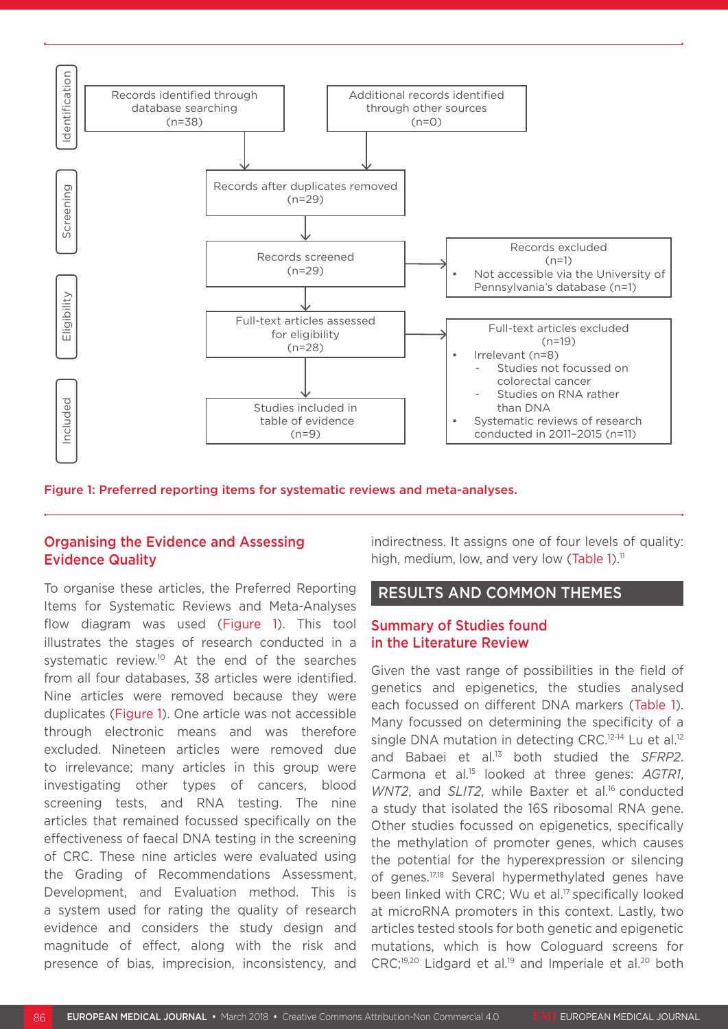

#### Organising the Evidence and Assessing Evidence Quality

To organise these articles, the Preferred Reporting Items for Systematic Reviews and Meta-Analyses flow diagram was used (Figure 1). This tool illustrates the stages of research conducted in a systematic review.<sup>10</sup> At the end of the searches from all four databases, 38 articles were identified. Nine articles were removed because they were duplicates (Figure 1). One article was not accessible through electronic means and was therefore excluded. Nineteen articles were removed due to irrelevance; many articles in this group were investigating other types of cancers, blood screening tests, and RNA testing. The nine articles that remained focussed specifically on the effectiveness of faecal DNA testing in the screening of CRC. These nine articles were evaluated using the Grading of Recommendations Assessment, Development, and Evaluation method. This is a system used for rating the quality of research evidence and considers the study design and magnitude of effect, along with the risk and presence of bias, imprecision, inconsistency, and indirectness. It assigns one of four levels of quality: high, medium, low, and very low (Table 1).<sup>11</sup>

#### RESULTS AND COMMON THEMES

#### Summary of Studies found in the Literature Review

Given the vast range of possibilities in the field of genetics and epigenetics, the studies analysed each focussed on different DNA markers (Table 1). Many focussed on determining the specificity of a single DNA mutation in detecting CRC.<sup>12-14</sup> Lu et al.<sup>12</sup> and Babaei et al.13 both studied the *SFRP2*. Carmona et al.15 looked at three genes: *AGTR1*, *WNT2*, and *SLIT2*, while Baxter et al.<sup>16</sup> conducted a study that isolated the 16S ribosomal RNA gene. Other studies focussed on epigenetics, specifically the methylation of promoter genes, which causes the potential for the hyperexpression or silencing of genes.17,18 Several hypermethylated genes have been linked with CRC; Wu et al.17 specifically looked at microRNA promoters in this context. Lastly, two articles tested stools for both genetic and epigenetic mutations, which is how Cologuard screens for  $CRC;^{19,20}$  Lidgard et al.<sup>19</sup> and Imperiale et al.<sup>20</sup> both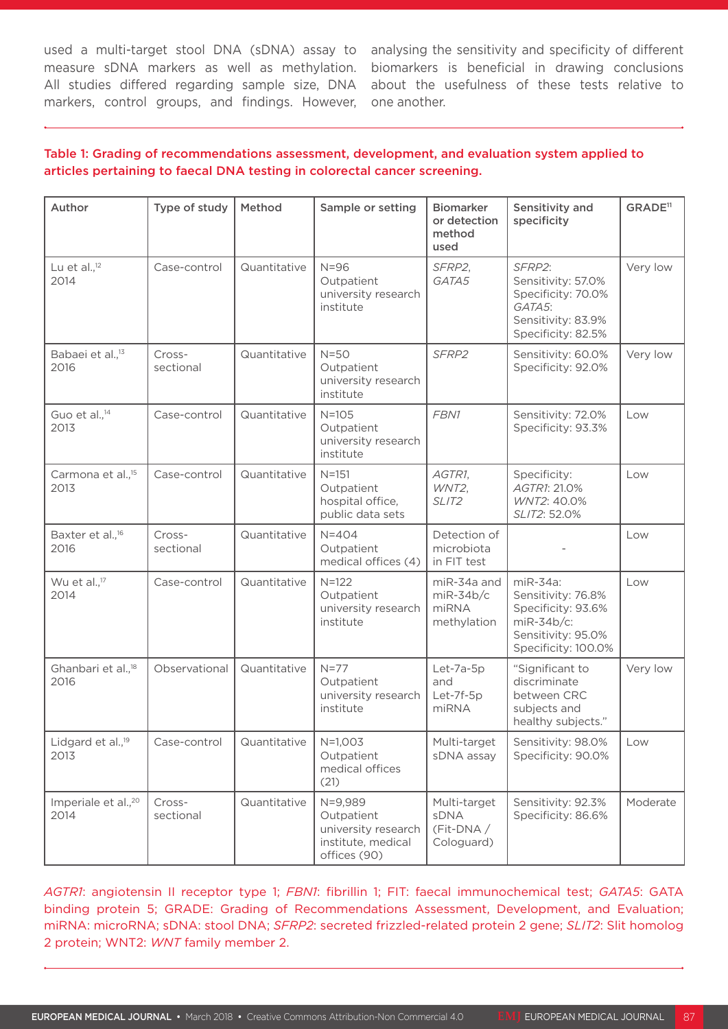measure sDNA markers as well as methylation. All studies differed regarding sample size, DNA markers, control groups, and findings. However,

used a multi-target stool DNA (sDNA) assay to analysing the sensitivity and specificity of different biomarkers is beneficial in drawing conclusions about the usefulness of these tests relative to one another.

#### Author | Type of study | Method | Sample or setting | Biomarker or detection method used Sensitivity and specificity GRADE<sup>11</sup> Lu et al. $^{12}$ 2014 Case-control | Quantitative | N=96 Outpatient university research institute *SFRP2*, *GATA5 SFRP2*: Sensitivity: 57.0% Specificity: 70.0% *GATA5*: Sensitivity: 83.9% Specificity: 82.5% Very low Babaei et al.,<sup>13</sup> 2016 Crosssectional Quantitative N=50 **Outpatient** university research institute *SFRP2* Sensitivity: 60.0% Specificity: 92.0% Very low Guo et al.,<sup>14</sup> 2013 Case-control | Quantitative | N=105 **Outpatient** university research institute *FBN1* Sensitivity: 72.0% Specificity: 93.3% Low Carmona et al.,<sup>15</sup> 2013 Case-control | Quantitative | N=151 Outpatient hospital office, public data sets *AGTR1*, *WNT2*, *SLIT2* Specificity: *AGTR1*: 21.0% *WNT2*: 40.0% *SLIT2*: 52.0% Low Baxter et al.<sup>16</sup> 2016 Crosssectional Quantitative N=404 **Outpatient** medical offices (4) Detection of microbiota in FIT test -  $\overline{L}$   $\cap$ Wu et al.,<sup>17</sup> 2014 Case-control | Quantitative | N=122 Outpatient university research institute miR-34a and miR-34b/c miRNA methylation miR-34a: Sensitivity: 76.8% Specificity: 93.6% miR-34b/c: Sensitivity: 95.0% Specificity: 100.0% Low Ghanbari et al.,<sup>18</sup> 2016 Observational | Quantitative | N=77 **Outpatient** university research institute Let-7a-5p and Let-7f-5p miRNA "Significant to discriminate between CRC subjects and healthy subjects." Very low Lidgard et al.,<sup>19</sup> 2013 Case-control | Quantitative | N=1.003 Outpatient medical offices (21) Multi-target sDNA assay Sensitivity: 98.0% Specificity: 90.0% Low Imperiale et al.,<sup>20</sup> 2014 Crosssectional Quantitative | N=9,989 **Outpatient** university research institute, medical offices (90) Multi-target sDNA (Fit-DNA / Cologuard) Sensitivity: 92.3% Specificity: 86.6% Moderate

#### Table 1: Grading of recommendations assessment, development, and evaluation system applied to articles pertaining to faecal DNA testing in colorectal cancer screening.

*AGTR1*: angiotensin II receptor type 1; *FBN1*: fibrillin 1; FIT: faecal immunochemical test; *GATA5*: GATA binding protein 5; GRADE: Grading of Recommendations Assessment, Development, and Evaluation; miRNA: microRNA; sDNA: stool DNA; *SFRP2*: secreted frizzled-related protein 2 gene; *SLIT2*: Slit homolog 2 protein; WNT2: *WNT* family member 2.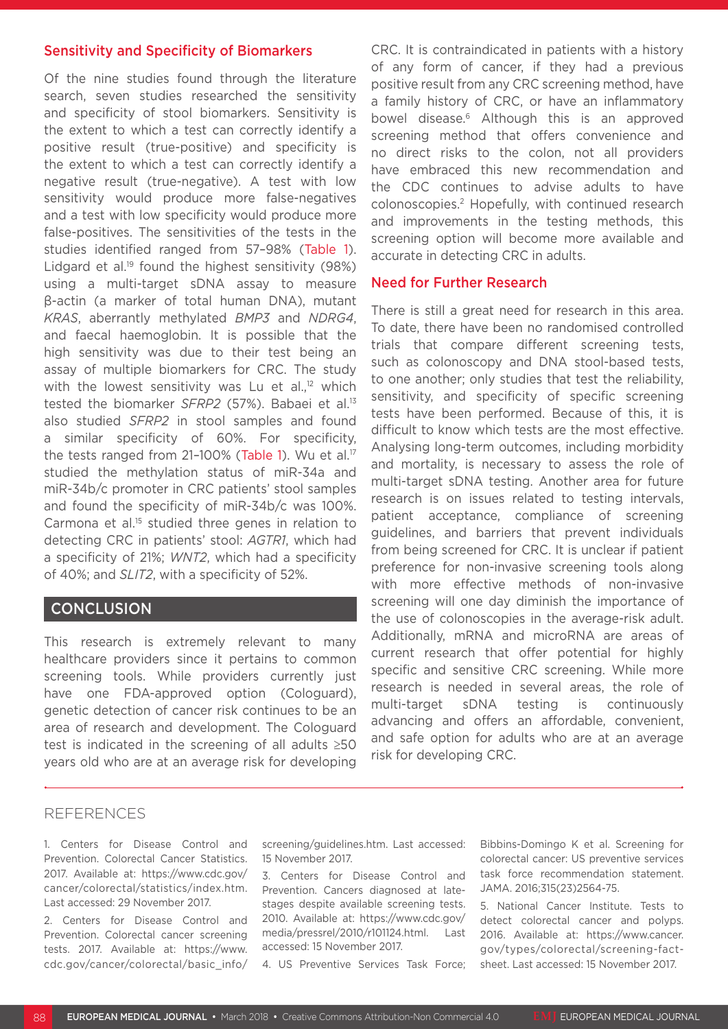#### Sensitivity and Specificity of Biomarkers

Of the nine studies found through the literature search, seven studies researched the sensitivity and specificity of stool biomarkers. Sensitivity is the extent to which a test can correctly identify a positive result (true-positive) and specificity is the extent to which a test can correctly identify a negative result (true-negative). A test with low sensitivity would produce more false-negatives and a test with low specificity would produce more false-positives. The sensitivities of the tests in the studies identified ranged from 57–98% (Table 1). Lidgard et al.<sup>19</sup> found the highest sensitivity  $(98%)$ using a multi-target sDNA assay to measure β-actin (a marker of total human DNA), mutant *KRAS*, aberrantly methylated *BMP3* and *NDRG4*, and faecal haemoglobin. It is possible that the high sensitivity was due to their test being an assay of multiple biomarkers for CRC. The study with the lowest sensitivity was Lu et al.,<sup>12</sup> which tested the biomarker *SFRP2* (57%). Babaei et al.13 also studied *SFRP2* in stool samples and found a similar specificity of 60%. For specificity, the tests ranged from 21-100% (Table 1). Wu et al.<sup>17</sup> studied the methylation status of miR-34a and miR-34b/c promoter in CRC patients' stool samples and found the specificity of miR-34b/c was 100%. Carmona et al.15 studied three genes in relation to detecting CRC in patients' stool: *AGTR1*, which had a specificity of 21%; *WNT2*, which had a specificity of 40%; and *SLIT2*, with a specificity of 52%.

#### **CONCLUSION**

This research is extremely relevant to many healthcare providers since it pertains to common screening tools. While providers currently just have one FDA-approved option (Cologuard), genetic detection of cancer risk continues to be an area of research and development. The Cologuard test is indicated in the screening of all adults ≥50 years old who are at an average risk for developing

CRC. It is contraindicated in patients with a history of any form of cancer, if they had a previous positive result from any CRC screening method, have a family history of CRC, or have an inflammatory bowel disease.6 Although this is an approved screening method that offers convenience and no direct risks to the colon, not all providers have embraced this new recommendation and the CDC continues to advise adults to have colonoscopies.2 Hopefully, with continued research and improvements in the testing methods, this screening option will become more available and accurate in detecting CRC in adults.

#### Need for Further Research

There is still a great need for research in this area. To date, there have been no randomised controlled trials that compare different screening tests, such as colonoscopy and DNA stool-based tests, to one another; only studies that test the reliability, sensitivity, and specificity of specific screening tests have been performed. Because of this, it is difficult to know which tests are the most effective. Analysing long-term outcomes, including morbidity and mortality, is necessary to assess the role of multi-target sDNA testing. Another area for future research is on issues related to testing intervals, patient acceptance, compliance of screening guidelines, and barriers that prevent individuals from being screened for CRC. It is unclear if patient preference for non-invasive screening tools along with more effective methods of non-invasive screening will one day diminish the importance of the use of colonoscopies in the average-risk adult. Additionally, mRNA and microRNA are areas of current research that offer potential for highly specific and sensitive CRC screening. While more research is needed in several areas, the role of multi-target sDNA testing is continuously advancing and offers an affordable, convenient, and safe option for adults who are at an average risk for developing CRC.

#### REFERENCES

1. Centers for Disease Control and Prevention. Colorectal Cancer Statistics. 2017. Available at: https://www.cdc.gov/ cancer/colorectal/statistics/index.htm. Last accessed: 29 November 2017.

2. Centers for Disease Control and Prevention. Colorectal cancer screening tests. 2017. Available at: https://www. cdc.gov/cancer/colorectal/basic\_info/ screening/guidelines.htm. Last accessed: 15 November 2017.

3. Centers for Disease Control and Prevention. Cancers diagnosed at latestages despite available screening tests. 2010. Available at: https://www.cdc.gov/ media/pressrel/2010/r101124.html. Last accessed: 15 November 2017.

4. US Preventive Services Task Force;

Bibbins-Domingo K et al. Screening for colorectal cancer: US preventive services task force recommendation statement. JAMA. 2016;315(23)2564-75.

5. National Cancer Institute. Tests to detect colorectal cancer and polyps. 2016. Available at: https://www.cancer. gov/types/colorectal/screening-factsheet. Last accessed: 15 November 2017.